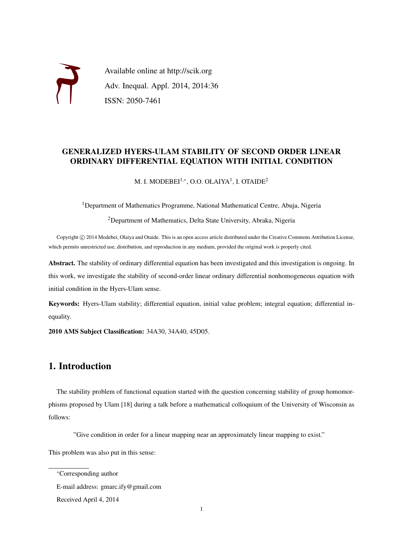

Available online at http://scik.org Adv. Inequal. Appl. 2014, 2014:36 ISSN: 2050-7461

### GENERALIZED HYERS-ULAM STABILITY OF SECOND ORDER LINEAR ORDINARY DIFFERENTIAL EQUATION WITH INITIAL CONDITION

M. I. MODEBEI $^{1,\ast}$ , O.O. OLAIYA $^{1}$ , I. OTAIDE $^{2}$ 

<sup>1</sup>Department of Mathematics Programme, National Mathematical Centre, Abuja, Nigeria

<sup>2</sup>Department of Mathematics, Delta State University, Abraka, Nigeria

Copyright © 2014 Modebei, Olaiya and Otaide. This is an open access article distributed under the Creative Commons Attribution License, which permits unrestricted use, distribution, and reproduction in any medium, provided the original work is properly cited.

Abstract. The stability of ordinary differential equation has been investigated and this investigation is ongoing. In this work, we investigate the stability of second-order linear ordinary differential nonhomogeneous equation with initial condition in the Hyers-Ulam sense.

Keywords: Hyers-Ulam stability; differential equation, initial value problem; integral equation; differential inequality.

2010 AMS Subject Classification: 34A30, 34A40, 45D05.

# 1. Introduction

The stability problem of functional equation started with the question concerning stability of group homomorphisms proposed by Ulam [18] during a talk before a mathematical colloquium of the University of Wisconsin as follows:

"Give condition in order for a linear mapping near an approximately linear mapping to exist."

This problem was also put in this sense:

<sup>∗</sup>Corresponding author

E-mail address: gmarc.ify@gmail.com

Received April 4, 2014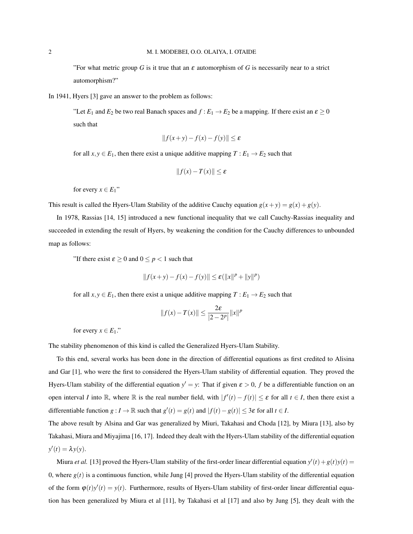"For what metric group *G* is it true that an  $\varepsilon$  automorphism of *G* is necessarily near to a strict automorphism?"

In 1941, Hyers [3] gave an answer to the problem as follows:

"Let  $E_1$  and  $E_2$  be two real Banach spaces and  $f : E_1 \to E_2$  be a mapping. If there exist an  $\varepsilon \ge 0$ such that

$$
||f(x+y)-f(x)-f(y)|| \leq \varepsilon
$$

for all  $x, y \in E_1$ , then there exist a unique additive mapping  $T : E_1 \to E_2$  such that

$$
||f(x) - T(x)|| \le \varepsilon
$$

for every  $x \in E_1$ "

This result is called the Hyers-Ulam Stability of the additive Cauchy equation  $g(x+y) = g(x) + g(y)$ .

In 1978, Rassias [14, 15] introduced a new functional inequality that we call Cauchy-Rassias inequality and succeeded in extending the result of Hyers, by weakening the condition for the Cauchy differences to unbounded map as follows:

"If there exist  $\varepsilon \ge 0$  and  $0 \le p < 1$  such that

$$
||f(x+y) - f(x) - f(y)|| \le \varepsilon (||x||^p + ||y||^p)
$$

for all  $x, y \in E_1$ , then there exist a unique additive mapping  $T : E_1 \to E_2$  such that

$$
||f(x) - T(x)|| \le \frac{2\varepsilon}{|2 - 2^p|} ||x||^p
$$

for every  $x \in E_1$ ."

The stability phenomenon of this kind is called the Generalized Hyers-Ulam Stability.

To this end, several works has been done in the direction of differential equations as first credited to Alisina and Gar [1], who were the first to considered the Hyers-Ulam stability of differential equation. They proved the Hyers-Ulam stability of the differential equation  $y' = y$ : That if given  $\varepsilon > 0$ , f be a differentiable function on an open interval *I* into R, where R is the real number field, with  $|f'(t) - f(t)| \leq \varepsilon$  for all  $t \in I$ , then there exist a differentiable function  $g: I \to \mathbb{R}$  such that  $g'(t) = g(t)$  and  $|f(t) - g(t)| \leq 3\varepsilon$  for all  $t \in I$ .

The above result by Alsina and Gar was generalized by Miuri, Takahasi and Choda [12], by Miura [13], also by Takahasi, Miura and Miyajima [16, 17]. Indeed they dealt with the Hyers-Ulam stability of the differential equation  $y'(t) = \lambda y(y).$ 

Miura *et al.* [13] proved the Hyers-Ulam stability of the first-order linear differential equation  $y'(t) + g(t)y(t) = 0$ 0, where  $g(t)$  is a continuous function, while Jung [4] proved the Hyers-Ulam stability of the differential equation of the form  $\varphi(t)y'(t) = y(t)$ . Furthermore, results of Hyers-Ulam stability of first-order linear differential equation has been generalized by Miura et al [11], by Takahasi et al [17] and also by Jung [5], they dealt with the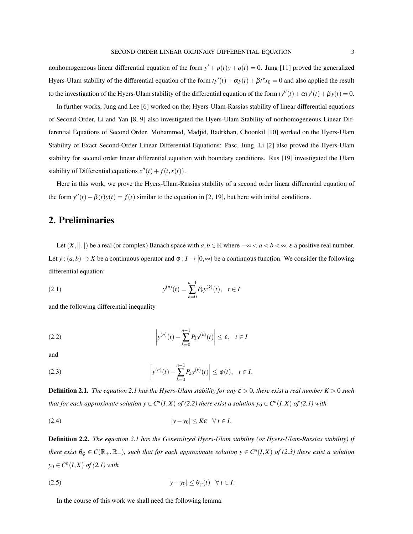nonhomogeneous linear differential equation of the form  $y' + p(t)y + q(t) = 0$ . Jung [11] proved the generalized Hyers-Ulam stability of the differential equation of the form  $ty'(t) + \alpha y(t) + \beta t^r x_0 = 0$  and also applied the result to the investigation of the Hyers-Ulam stability of the differential equation of the form  $ty''(t) + \alpha ty'(t) + \beta y(t) = 0$ .

In further works, Jung and Lee [6] worked on the; Hyers-Ulam-Rassias stability of linear differential equations of Second Order, Li and Yan [8, 9] also investigated the Hyers-Ulam Stability of nonhomogeneous Linear Differential Equations of Second Order. Mohammed, Madjid, Badrkhan, Choonkil [10] worked on the Hyers-Ulam Stability of Exact Second-Order Linear Differential Equations: Pasc, Jung, Li [2] also proved the Hyers-Ulam stability for second order linear differential equation with boundary conditions. Rus [19] investigated the Ulam stability of Differential equations  $x''(t) + f(t, x(t))$ .

Here in this work, we prove the Hyers-Ulam-Rassias stability of a second order linear differential equation of the form  $y''(t) - \beta(t)y(t) = f(t)$  similar to the equation in [2, 19], but here with initial conditions.

# 2. Preliminaries

Let  $(X, \|.\|)$  be a real (or complex) Banach space with  $a, b \in \mathbb{R}$  where  $-\infty < a < b < \infty$ ,  $\varepsilon$  a positive real number. Let  $y:(a,b) \to X$  be a continuous operator and  $\varphi: I \to [0,\infty)$  be a continuous function. We consider the following differential equation:

(2.1) 
$$
y^{(n)}(t) = \sum_{k=0}^{n-1} P_k y^{(k)}(t), \quad t \in I
$$

and the following differential inequality

(2.2) 
$$
\left| y^{(n)}(t) - \sum_{k=0}^{n-1} P_k y^{(k)}(t) \right| \le \varepsilon, \quad t \in I
$$

and

(2.3) 
$$
\left| y^{(n)}(t) - \sum_{k=0}^{n-1} P_k y^{(k)}(t) \right| \le \varphi(t), \quad t \in I.
$$

**Definition 2.1.** *The equation 2.1 has the Hyers-Ulam stability for any*  $\varepsilon > 0$ *, there exist a real number*  $K > 0$  *such that for each approximate solution*  $y \in C^n(I,X)$  *of (2.2) there exist a solution*  $y_0 \in C^n(I,X)$  *of (2.1) with* 

$$
|y - y_0| \le K\varepsilon \quad \forall \ t \in I.
$$

Definition 2.2. *The equation 2.1 has the Generalized Hyers-Ulam stability (or Hyers-Ulam-Rassias stability) if there exist*  $\theta_{\varphi} \in C(\mathbb{R}_+, \mathbb{R}_+)$ , such that for each approximate solution  $y \in C^n(I,X)$  of (2.3) there exist a solution  $y_0 \in C^n(I, X)$  *of* (2.1) with

$$
|y - y_0| \le \theta_{\varphi}(t) \quad \forall \ t \in I.
$$

In the course of this work we shall need the following lemma.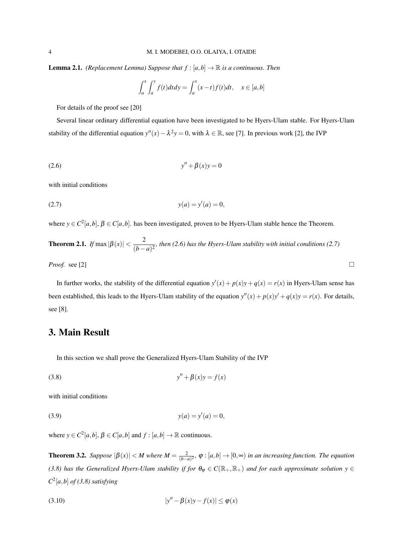**Lemma 2.1.** *(Replacement Lemma)* Suppose that  $f$  :  $[a,b] \rightarrow \mathbb{R}$  is a continuous. Then

$$
\int_{a}^{x} \int_{a}^{y} f(t) dt dy = \int_{a}^{x} (x - t) f(t) dt, \quad x \in [a, b]
$$

For details of the proof see [20]

Several linear ordinary differential equation have been investigated to be Hyers-Ulam stable. For Hyers-Ulam stability of the differential equation  $y''(x) - \lambda^2 y = 0$ , with  $\lambda \in \mathbb{R}$ , see [7]. In previous work [2], the IVP

(2.6) 
$$
y'' + \beta(x)y = 0
$$

with initial conditions

(2.7) 
$$
y(a) = y'(a) = 0,
$$

where  $y \in C^2[a,b], \beta \in C[a,b]$ . has been investigated, proven to be Hyers-Ulam stable hence the Theorem.

**Theorem 2.1.** If 
$$
\max |\beta(x)| < \frac{2}{(b-a)^2}
$$
, then (2.6) has the Hvers-Ulam stability with initial conditions (2.7)

*Proof.* see [2]

In further works, the stability of the differential equation  $y'(x) + p(x)y + q(x) = r(x)$  in Hyers-Ulam sense has been established, this leads to the Hyers-Ulam stability of the equation  $y''(x) + p(x)y' + q(x)y = r(x)$ . For details, see [8].

# 3. Main Result

In this section we shall prove the Generalized Hyers-Ulam Stability of the IVP

$$
(3.8)\qquad \qquad y'' + \beta(x)y = f(x)
$$

with initial conditions

(3.9) 
$$
y(a) = y'(a) = 0,
$$

where  $y \in C^2[a,b], \beta \in C[a,b]$  and  $f : [a,b] \to \mathbb{R}$  continuous.

**Theorem 3.2.** *Suppose*  $|\beta(x)| < M$  *where*  $M = \frac{2}{(b-a)^2}$ ,  $\varphi : [a,b] \to [0,\infty)$  *in an increasing function. The equation (3.8) has the Generalized Hyers-Ulam stability if for*  $\theta_{\varphi} \in C(\mathbb{R}_+, \mathbb{R}_+)$  *and for each approximate solution*  $y \in$  $C^2[a,b]$  *of* (3.8) satisfying

(3.10) 
$$
|y'' - \beta(x)y - f(x)| \le \varphi(x)
$$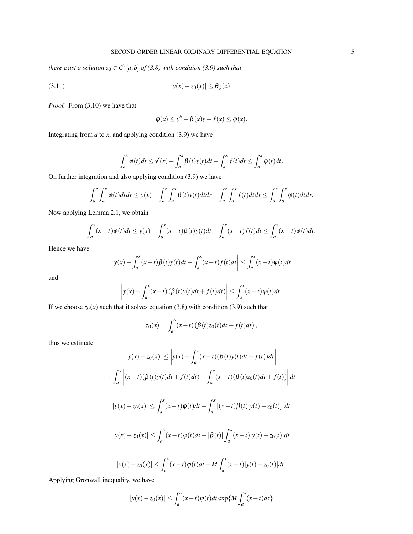*there exist a solution*  $z_0 \in C^2[a,b]$  *of (3.8) with condition (3.9) such that* 

$$
|y(x) - z_0(x)| \leq \theta_{\varphi}(x).
$$

*Proof.* From (3.10) we have that

$$
\varphi(x) \le y'' - \beta(x)y - f(x) \le \varphi(x).
$$

Integrating from  $a$  to  $x$ , and applying condition (3.9) we have

$$
\int_a^x \varphi(t)dt \leq y'(x) - \int_a^x \beta(t)y(t)dt - \int_a^x f(t)dt \leq \int_a^x \varphi(t)dt.
$$

On further integration and also applying condition (3.9) we have

$$
\int_a^r \int_a^x \varphi(t) dt dr \leq y(x) - \int_a^r \int_a^x \beta(t) y(t) dt dr - \int_a^r \int_a^x f(t) dt dr \leq \int_a^r \int_a^x \varphi(t) dt dr.
$$

Now applying Lemma 2.1, we obtain

$$
\int_a^x (x-t)\varphi(t)dt \leq y(x) - \int_a^x (x-t)\beta(t)y(t)dt - \int_a^x (x-t)f(t)dt \leq \int_a^x (x-t)\varphi(t)dt.
$$

Hence we have

$$
\left| y(x) - \int_{a}^{x} (x-t) \beta(t) y(t) dt - \int_{a}^{x} (x-t) f(t) dt \right| \leq \int_{a}^{x} (x-t) \varphi(t) dt
$$

and

$$
\left| y(x) - \int_a^x (x-t) \left( \beta(t) y(t) dt + f(t) dt \right) \right| \leq \int_a^x (x-t) \varphi(t) dt.
$$

If we choose  $z_0(x)$  such that it solves equation (3.8) with condition (3.9) such that

$$
z_0(x) = \int_a^x (x-t) (\beta(t)z_0(t)dt + f(t)dt),
$$

thus we estimate

$$
|y(x) - z_0(x)| \le |y(x) - \int_a^x (x - t)(\beta(t)y(t)dt + f(t))dt|
$$
  
+ 
$$
\int_a^x |(x - t)(\beta(t)y(t)dt + f(t)dt) - \int_a^x (x - t)(\beta(t)z_0(t)dt + f(t))|dt
$$
  

$$
|y(x) - z_0(x)| \le \int_a^x (x - t)\varphi(t)dt + \int_a^x |(x - t)\beta(t)[y(t) - z_0(t)]|dt
$$
  

$$
|y(x) - z_0(x)| \le \int_a^x (x - t)\varphi(t)dt + |\beta(t)|\int_a^x (x - t)|y(t) - z_0(t)|dt
$$

$$
|y(x) - z_0(x)| \leq \int_a^x (x-t)\varphi(t)dt + M \int_a^x (x-t)|y(t) - z_0(t)|dt.
$$

Applying Gronwall inequality, we have

$$
|y(x) - z_0(x)| \le \int_a^x (x-t) \varphi(t) dt \exp\{M \int_a^x (x-t) dt\}
$$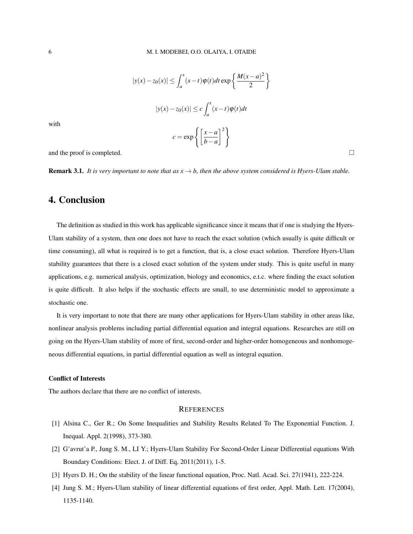$$
|y(x) - z_0(x)| \le \int_a^x (x - t) \varphi(t) dt \exp\left\{\frac{M(x - a)^2}{2}\right\}
$$

$$
|y(x) - z_0(x)| \le c \int_a^x (x - t) \varphi(t) dt
$$

$$
c = \exp\left\{\left[\frac{x - a}{b - a}\right]^2\right\}
$$

with

and the proof is completed.  $\Box$ 

**Remark 3.1.** *It is very important to note that as*  $x \rightarrow b$ *, then the above system considered is Hyers-Ulam stable.* 

### 4. Conclusion

The definition as studied in this work has applicable significance since it means that if one is studying the Hyers-Ulam stability of a system, then one does not have to reach the exact solution (which usually is quite difficult or time consuming), all what is required is to get a function, that is, a close exact solution. Therefore Hyers-Ulam stability guarantees that there is a closed exact solution of the system under study. This is quite useful in many applications, e.g. numerical analysis, optimization, biology and economics, e.t.c. where finding the exact solution is quite difficult. It also helps if the stochastic effects are small, to use deterministic model to approximate a stochastic one.

It is very important to note that there are many other applications for Hyers-Ulam stability in other areas like, nonlinear analysis problems including partial differential equation and integral equations. Researches are still on going on the Hyers-Ulam stability of more of first, second-order and higher-order homogeneous and nonhomogeneous differential equations, in partial differential equation as well as integral equation.

#### Conflict of Interests

The authors declare that there are no conflict of interests.

#### **REFERENCES**

- [1] Alsina C., Ger R.; On Some Inequalities and Stability Results Related To The Exponential Function. J. Inequal. Appl. 2(1998), 373-380.
- [2] G'avrut'a P., Jung S. M., LI Y.; Hyers-Ulam Stability For Second-Order Linear Differential equations With Boundary Conditions: Elect. J. of Diff. Eq, 2011(2011), 1-5.
- [3] Hyers D. H.; On the stability of the linear functional equation, Proc. Natl. Acad. Sci. 27(1941), 222-224.
- [4] Jung S. M.; Hyers-Ulam stability of linear differential equations of first order, Appl. Math. Lett. 17(2004), 1135-1140.